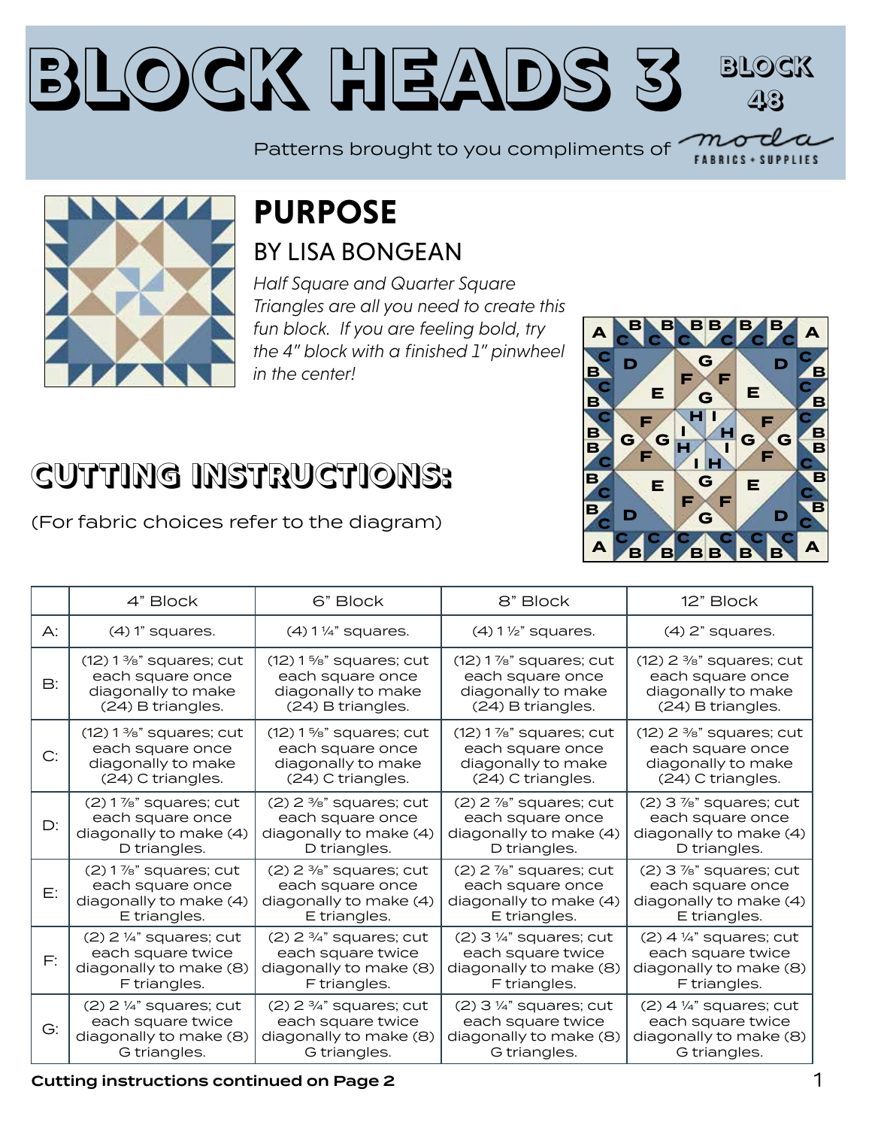### **Block Heads 3 Block 48**

Patterns brought to you compliments of



### **PURPOSE** BY LISA BONGEAN

*Half Square and Quarter Square Triangles are all you need to create this fun block. If you are feeling bold, try the 4" block with a finished 1" pinwheel in the center!*



LIES

**B**

## **CUTTING INSTRUCTIONS:**

(For fabric choices refer to the diagram)

|               | 4" Block                    | 6" Block                             | 8" Block                             | 12" Block                             |
|---------------|-----------------------------|--------------------------------------|--------------------------------------|---------------------------------------|
| $\bigwedge$ : | $(4)$ 1" squares.           | $(4)$ 1 $\frac{1}{4}$ " squares.     | $(4)$ 1 $\frac{1}{2}$ " squares.     | $(4)$ 2" squares.                     |
| <b>B:</b>     | $(12)$ 1 %" squares; cut    | $(12)$ 1 %" squares; cut             | $(12)$ 1 $\%$ " squares; cut         | $(12)$ 2 $\frac{3}{8}$ " squares; cut |
|               | each square once            | each square once                     | each square once                     | each square once                      |
|               | diagonally to make          | diagonally to make                   | diagonally to make                   | diagonally to make                    |
|               | (24) B triangles.           | (24) B triangles.                    | (24) B triangles.                    | (24) B triangles.                     |
| C:            | $(12)$ 1 %" squares; cut    | $(12)$ 1 %" squares; cut             | $(12)$ 1 %" squares; cut             | $(12)$ 2 $\frac{3}{8}$ " squares; cut |
|               | each square once            | each square once                     | each square once                     | each square once                      |
|               | diagonally to make          | diagonally to make                   | diagonally to make                   | diagonally to make                    |
|               | (24) C triangles.           | (24) C triangles.                    | (24) C triangles.                    | (24) C triangles.                     |
| D:            | $(2)$ 1 $\%$ " squares; cut | $(2)$ 2 $\frac{3}{8}$ " squares; cut | $(2)$ 2 $\frac{7}{8}$ " squares; cut | $(2)$ 3 $\frac{7}{8}$ " squares; cut  |
|               | each square once            | each square once                     | each square once                     | each square once                      |
|               | diagonally to make (4)      | diagonally to make (4)               | diagonally to make (4)               | diagonally to make (4)                |
|               | D triangles.                | D triangles.                         | D triangles.                         | D triangles.                          |
| Е:            | $(2)$ 1 $\%$ " squares; cut | $(2)$ 2 $\frac{3}{8}$ " squares; cut | $(2)$ 2 $\frac{7}{8}$ " squares; cut | $(2)$ 3 $\frac{7}{8}$ " squares; cut  |
|               | each square once            | each square once                     | each square once                     | each square once                      |
|               | diagonally to make (4)      | diagonally to make (4)               | diagonally to make (4)               | diagonally to make (4)                |
|               | E triangles.                | E triangles.                         | E triangles.                         | E triangles.                          |
| F:            | $(2)$ 2 ¼" squares; cut     | $(2)$ 2 $\frac{3}{4}$ " squares; cut | $(2)$ 3 ¼" squares; cut              | $(2)$ 4 $\frac{1}{4}$ " squares; cut  |
|               | each square twice           | each square twice                    | each square twice                    | each square twice                     |
|               | diagonally to make (8)      | diagonally to make (8)               | diagonally to make (8)               | diagonally to make (8)                |
|               | F triangles.                | F triangles.                         | F triangles.                         | F triangles.                          |
| G:            | $(2)$ 2 ¼" squares; cut     | $(2)$ 2 $\frac{3}{4}$ " squares; cut | $(2)$ 3 $\frac{1}{4}$ " squares; cut | $(2)$ 4 $\frac{1}{4}$ " squares; cut  |
|               | each square twice           | each square twice                    | each square twice                    | each square twice                     |
|               | diagonally to make (8)      | diagonally to make (8)               | diagonally to make (8)               | diagonally to make (8)                |
|               | G triangles.                | G triangles.                         | G triangles.                         | G triangles.                          |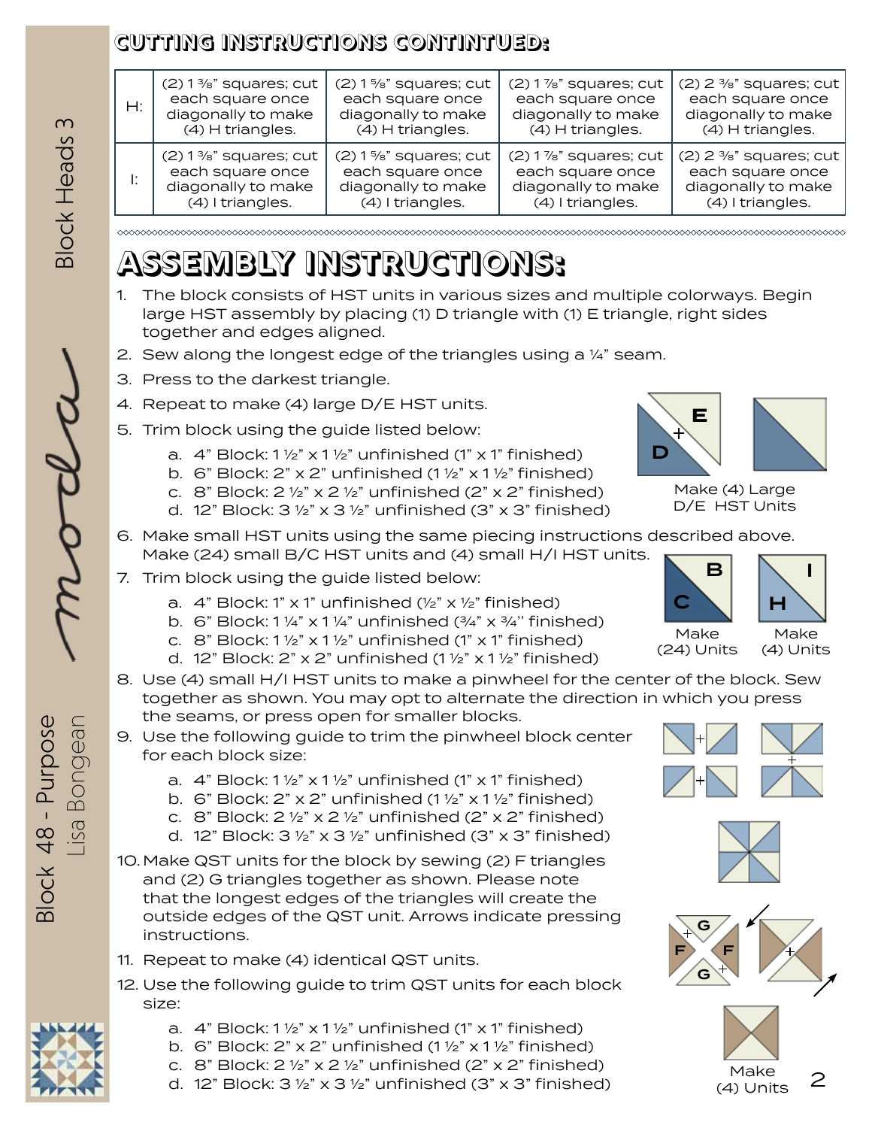#### **CUTTING INSTRUCTIONS CONTINTUED:**

| Н: | $(2)$ 1 %" squares; cut | $(2)$ 1%" squares; cut  | $(2)$ 1 $\%$ " squares; cut | $(2)$ 2 $\frac{3}{8}$ " squares; cut |
|----|-------------------------|-------------------------|-----------------------------|--------------------------------------|
|    | each square once        | each square once        | each square once            | each square once                     |
|    | diagonally to make      | diagonally to make      | diagonally to make          | diagonally to make                   |
|    | (4) H triangles.        | (4) H triangles.        | (4) H triangles.            | (4) H triangles.                     |
|    | $(2)$ 1 %" squares; cut | $(2)$ 1 %" squares; cut | $(2)$ 1 $\%$ " squares; cut | $(2)$ 2 $\frac{3}{8}$ " squares; cut |
|    | each square once        | each square once        | each square once            | each square once                     |
|    | diagonally to make      | diagonally to make      | diagonally to make          | diagonally to make                   |
|    | (4) I triangles.        | (4) I triangles.        | (4) I triangles.            | (4) I triangles.                     |

# **ASSEMBLY INSTRUCTIONS:**

- 1. The block consists of HST units in various sizes and multiple colorways. Begin large HST assembly by placing (1) D triangle with (1) E triangle, right sides together and edges aligned.
- 2. Sew along the longest edge of the triangles using a  $\frac{1}{4}$ " seam.
- 3. Press to the darkest triangle.
- 4. Repeat to make (4) large D/E HST units.
- 5. Trim block using the guide listed below:
	- a.  $4$ " Block: 1 1/2" x 1 1/2" unfinished (1" x 1" finished)
	- b. 6" Block:  $2$ " x  $2$ " unfinished  $(1 \frac{1}{2}$ " x  $1 \frac{1}{2}$ " finished)
	- c. 8" Block:  $2 \frac{1}{2}$ " x  $2 \frac{1}{2}$ " unfinished ( $2$ " x  $2$ " finished)
	- d. 12" Block:  $3\frac{1}{2}$ " x  $3\frac{1}{2}$ " unfinished (3" x 3" finished)
- 6. Make small HST units using the same piecing instructions described above. Make (24) small B/C HST units and (4) small H/I HST units.
- 7. Trim block using the guide listed below:
	- a.  $4$ " Block: 1" x 1" unfinished ( $\frac{1}{2}$ " x  $\frac{1}{2}$ " finished)
	- b. 6" Block:  $1\frac{1}{4}$ " x  $1\frac{1}{4}$ " unfinished  $\left(\frac{3}{4}$ " x  $\frac{3}{4}$ " finished)
	- c. 8" Block:  $1\frac{1}{2}$ " x  $1\frac{1}{2}$ " unfinished (1" x 1" finished)
	- d. 12" Block:  $2$ " x  $2$ " unfinished (1  $\frac{1}{2}$ " x 1  $\frac{1}{2}$ " finished)
- 8. Use (4) small H/I HST units to make a pinwheel for the center of the block. Sew together as shown. You may opt to alternate the direction in which you press the seams, or press open for smaller blocks.
- 9. Use the following guide to trim the pinwheel block center for each block size:
	- a.  $4$ " Block:  $1\frac{1}{2}$ " x  $1\frac{1}{2}$ " unfinished (1" x 1" finished)
	- b. 6" Block:  $2$ " x  $2$ " unfinished (1  $\frac{1}{2}$ " x 1  $\frac{1}{2}$ " finished)
	- c. 8" Block:  $2 \frac{1}{2}$ " x  $2 \frac{1}{2}$ " unfinished ( $2$ " x  $2$ " finished)
	- d. 12" Block:  $3\frac{1}{2}$ " x  $3\frac{1}{2}$ " unfinished ( $3$ " x  $3$ " finished)
- 10.Make QST units for the block by sewing (2) F triangles and (2) G triangles together as shown. Please note that the longest edges of the triangles will create the outside edges of the QST unit. Arrows indicate pressing instructions.
- 11. Repeat to make (4) identical QST units.
- 12. Use the following guide to trim QST units for each block size:
	- a.  $4$ " Block:  $1\frac{1}{2}$ " x  $1\frac{1}{2}$ " unfinished (1" x 1" finished)
	- b. 6" Block:  $2$ " x  $2$ " unfinished (1  $\frac{1}{2}$ " x 1  $\frac{1}{2}$ " finished)
	- c. 8" Block:  $2 \frac{1}{2}$ " x  $2 \frac{1}{2}$ " unfinished ( $2$ " x  $2$ " finished)
	- d. 12" Block:  $3 \frac{1}{2}$ " x  $3 \frac{1}{2}$ " unfinished (3" x 3" finished)



Make (4) Large D/E HST Units





(24) Units

Make (4) Units











3lock 48 - Purpose Block 48 - Purpose Lisa Bongean



Make